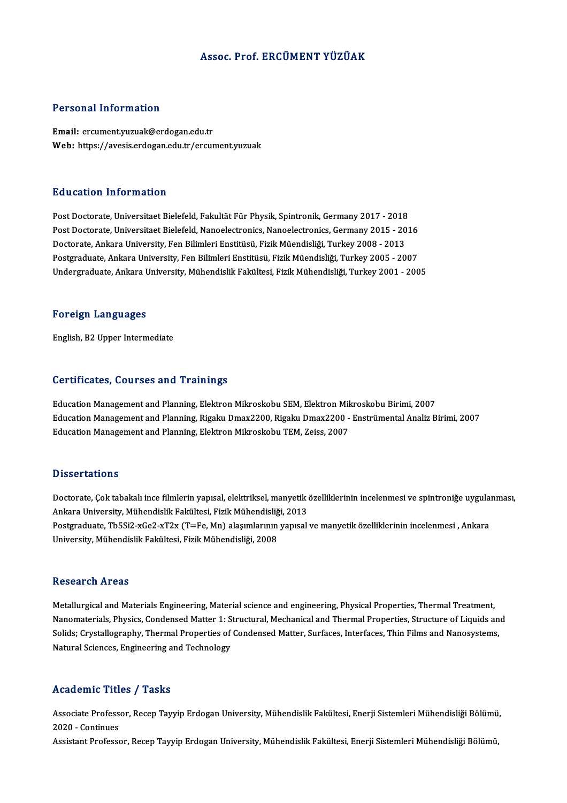### Assoc. Prof. ERCÜMENT YÜZÜAK

### Personal Information

Email: ercument.yuzuak@erdogan.edu.tr Web: https://avesis.erdogan.edu.tr/ercument.yuzuak

### Education Information

Education Information<br>Post Doctorate, Universitaet Bielefeld, Fakultät Für Physik, Spintronik, Germany 2017 - 2018<br>Post Doctorate, Universitaet Bielefeld, Nanoelestronics, Nanoelestronics, Germany 2015 - 201 Post Doctorate, Universitaet Bielefeld, Fakultät Für Physik, Spintronik, Germany 2017 - 2018<br>Post Doctorate, Universitaet Bielefeld, Nanoelectronics, Nanoelectronics, Germany 2015 - 2016<br>Doctorate, Ankara University, Fon B Post Doctorate, Universitaet Bielefeld, Nanoelectronics, Nanoelectronics, Germany 2015 - 2016<br>Doctorate, Ankara University, Fen Bilimleri Enstitüsü, Fizik Müendisliği, Turkey 2008 - 2013 Post Doctorate, Universitaet Bielefeld, Nanoelectronics, Nanoelectronics, Germany 2015 - 2016<br>Doctorate, Ankara University, Fen Bilimleri Enstitüsü, Fizik Müendisliği, Turkey 2008 - 2013<br>Postgraduate, Ankara University, Fe Doctorate, Ankara University, Fen Bilimleri Enstitüsü, Fizik Müendisliği, Turkey 2008 - 2013<br>Postgraduate, Ankara University, Fen Bilimleri Enstitüsü, Fizik Müendisliği, Turkey 2005 - 2007<br>Undergraduate, Ankara University, Undergraduate, Ankara University, Mühendislik Fakültesi, Fizik Mühendisliği, Turkey 2001 - 2005<br>Foreign Languages

English,B2Upper Intermediate

### Certificates, Courses and Trainings

Education Management and Planning, Elektron Mikroskobu SEM, Elektron Mikroskobu Birimi, 2007 Education Management and Planning, Elektron Mikroskobu SEM, Elektron Mikroskobu Birimi, 2007<br>Education Management and Planning, Rigaku Dmax2200, Rigaku Dmax2200 - Enstrümental Analiz Birimi, 2007<br>Education Management and P Education Management and Planning, Elektron Mikroskobu SEM, Elektron Mil<br>Education Management and Planning, Rigaku Dmax2200, Rigaku Dmax2200 -<br>Education Management and Planning, Elektron Mikroskobu TEM, Zeiss, 2007 Education Management and Planning, Elektron Mikroskobu TEM, Zeiss, 2007<br>Dissertations

Dissertations<br>Doctorate, Çok tabakalı ince filmlerin yapısal, elektriksel, manyetik özelliklerinin incelenmesi ve spintroniğe uygulanması,<br>Ankana University, Mühandislik Fakültesi, Fisik Mühandisliği, 2012 Basser tarrens<br>Doctorate, Çok tabakalı ince filmlerin yapısal, elektriksel, manyetik<br>Ankara University, Mühendislik Fakültesi, Fizik Mühendisliği, 2013<br>Postanaduata ThESi3 xCo3 xT3x (T–Eo Mn) alasımlanının yapısal Doctorate, Çok tabakalı ince filmlerin yapısal, elektriksel, manyetik özelliklerinin incelenmesi ve spintroniğe uygula:<br>Ankara University, Mühendislik Fakültesi, Fizik Mühendisliği, 2013<br>Postgraduate, Tb5Si2-xGe2-xT2x (T=F Ankara University, Mühendislik Fakültesi, Fizik Mühendisliğ<br>Postgraduate, Tb5Si2-xGe2-xT2x (T=Fe, Mn) alaşımlarının<br>University, Mühendislik Fakültesi, Fizik Mühendisliği, 2008 University, Mühendislik Fakültesi, Fizik Mühendisliği, 2008<br>Research Areas

Metallurgical and Materials Engineering, Material science and engineering, Physical Properties, Thermal Treatment, Netallurgical and Materials Engineering, Material science and engineering, Physical Properties, Thermal Treatment,<br>Manomaterials, Physics, Condensed Matter 1: Structural, Mechanical and Thermal Properties, Structure of Liq Metallurgical and Materials Engineering, Material science and engineering, Physical Properties, Thermal Treatment,<br>Nanomaterials, Physics, Condensed Matter 1: Structural, Mechanical and Thermal Properties, Structure of Liq Nanomaterials, Physics, Condensed Matter 1: S<br>Solids; Crystallography, Thermal Properties of<br>Natural Sciences, Engineering and Technology Natural Sciences, Engineering and Technology<br>Academic Titles / Tasks

**Academic Titles / Tasks**<br>Associate Professor, Recep Tayyip Erdogan University, Mühendislik Fakültesi, Enerji Sistemleri Mühendisliği Bölümü, Associate Profess<br>2020 - Continues<br>Assistant Professe Associate Professor, Recep Tayyip Erdogan University, Mühendislik Fakültesi, Enerji Sistemleri Mühendisliği Bölümü<br>2020 - Continues<br>Assistant Professor, Recep Tayyip Erdogan University, Mühendislik Fakültesi, Enerji Sistem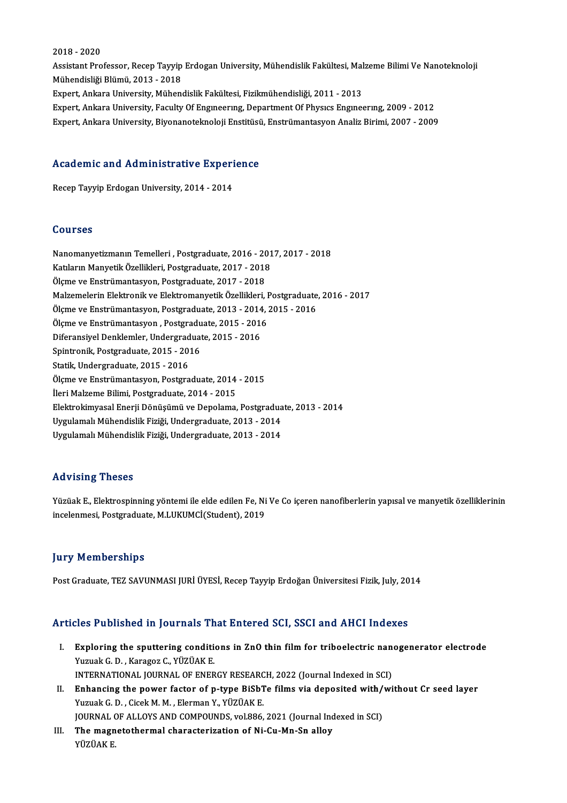### 2018 -2020

2018 - 2020<br>Assistant Professor, Recep Tayyip Erdogan University, Mühendislik Fakültesi, Malzeme Bilimi Ve Nanoteknoloji<br>Mühendisliği Plümü, 2012 - 2019 2018 - 2020<br>Assistant Professor, Recep Tayyip<br>Mühendisliği Blümü, 2013 - 2018<br>Eupert Ankara University, Mühan Assistant Professor, Recep Tayyip Erdogan University, Mühendislik Fakültesi, Mal<br>Mühendisliği Blümü, 2013 - 2018<br>Expert, Ankara University, Mühendislik Fakültesi, Fizikmühendisliği, 2011 - 2013<br>Eynert, Ankara University, F Mühendisliği Blümü, 2013 - 2018<br>Expert, Ankara University, Mühendislik Fakültesi, Fizikmühendisliği, 2011 - 2013<br>Expert, Ankara University, Faculty Of Engıneerıng, Department Of Physics Engineering, 2009 - 2012<br>Expert, Ank Expert, Ankara University, Mühendislik Fakültesi, Fizikmühendisliği, 2011 - 2013<br>Expert, Ankara University, Faculty Of Engmeering, Department Of Physics Engineering, 2009 - 2012<br>Expert, Ankara University, Biyonanoteknoloji

# expert, Ankara University, Biyonanotekholoji Ensutust<br>Academic and Administrative Experience A<mark>cademic and Administrative Experi</mark><br>Recep Tayyip Erdogan University, 2014 - 2014

Recep Tayyip Erdogan University, 2014 - 2014<br>Courses

| <b>Courses</b>                                                                    |
|-----------------------------------------------------------------------------------|
| Nanomanyetizmanın Temelleri, Postgraduate, 2016 - 2017, 2017 - 2018               |
| Katıların Manyetik Özellikleri, Postgraduate, 2017 - 2018                         |
| Ölçme ve Enstrümantasyon, Postgraduate, 2017 - 2018                               |
| Malzemelerin Elektronik ve Elektromanyetik Özellikleri, Postgraduate, 2016 - 2017 |
| Ölçme ve Enstrümantasyon, Postgraduate, 2013 - 2014, 2015 - 2016                  |
| Ölçme ve Enstrümantasyon, Postgraduate, 2015 - 2016                               |
| Diferansiyel Denklemler, Undergraduate, 2015 - 2016                               |
| Spintronik, Postgraduate, 2015 - 2016                                             |
| Statik, Undergraduate, 2015 - 2016                                                |
| Ölçme ve Enstrümantasyon, Postgraduate, 2014 - 2015                               |
| Ileri Malzeme Bilimi, Postgraduate, 2014 - 2015                                   |
| Elektrokimyasal Enerji Dönüşümü ve Depolama, Postgraduate, 2013 - 2014            |
| Uygulamalı Mühendislik Fiziği, Undergraduate, 2013 - 2014                         |
| Uygulamalı Mühendislik Fiziği, Undergraduate, 2013 - 2014                         |

### Advising Theses

Yüzüak E., Elektrospinning yöntemi ile elde edilen Fe, Ni Ve Co içeren nanofiberlerin yapısal ve manyetik özelliklerinin incelenmesi, Postgraduate, M.LUKUMCİ(Student), 2019

### **Jury Memberships**

Post Graduate, TEZ SAVUNMASI JURİ ÜYESİ, Recep Tayyip Erdoğan Üniversitesi Fizik, July, 2014

### Articles Published in Journals That Entered SCI, SSCI and AHCI Indexes

- rticles Published in Journals That Entered SCI, SSCI and AHCI Indexes<br>I. Exploring the sputtering conditions in ZnO thin film for triboelectric nanogenerator electrode<br>Winish C.D. Kanaga C. VÜZÜAK E XUS TUSHSHUU III JULITILIS TII<br>Exploring the sputtering condition<br>Vuzuak G. D. , Karagoz C., YÜZÜAK E. Exploring the sputtering conditions in ZnO thin film for triboelectric nan<br>Yuzuak G. D. , Karagoz C., YÜZÜAK E.<br>INTERNATIONAL JOURNAL OF ENERGY RESEARCH, 2022 (Journal Indexed in SCI)<br>Enhanging the navyar fastar of nature Yuzuak G. D. , Karagoz C., YÜZÜAK E.<br>INTERNATIONAL JOURNAL OF ENERGY RESEARCH, 2022 (Journal Indexed in SCI)<br>II. Enhancing the power factor of p-type BiSbTe films via deposited with/without Cr seed layer<br>Vuruak C. D. Gisek
- INTERNATIONAL JOURNAL OF ENERGY RESEARC<br>Enhancing the power factor of p-type BiSb1<br>Yuzuak G. D. , Cicek M. M. , Elerman Y., YÜZÜAK E.<br>JOURNAL OF ALLOYS AND COMPOUNDS vel 896 Enhancing the power factor of p-type BiSbTe films via deposited with/<br>Yuzuak G. D. , Cicek M. M. , Elerman Y., YÜZÜAK E.<br>JOURNAL OF ALLOYS AND COMPOUNDS, vol.886, 2021 (Journal Indexed in SCI)<br>The magnetathermal characteri Yuzuak G. D. , Cicek M. M. , Elerman Y., YÜZÜAK E.<br>JOURNAL OF ALLOYS AND COMPOUNDS, vol.886, 2021 (Journal Ind<br>III. The magnetothermal characterization of Ni-Cu-Mn-Sn alloy<br>YÜZÜAK E. JOURNAL OF ALLOYS AND COMPOUNDS, vol.886, 2021 (Journal Indexed in SCI)
-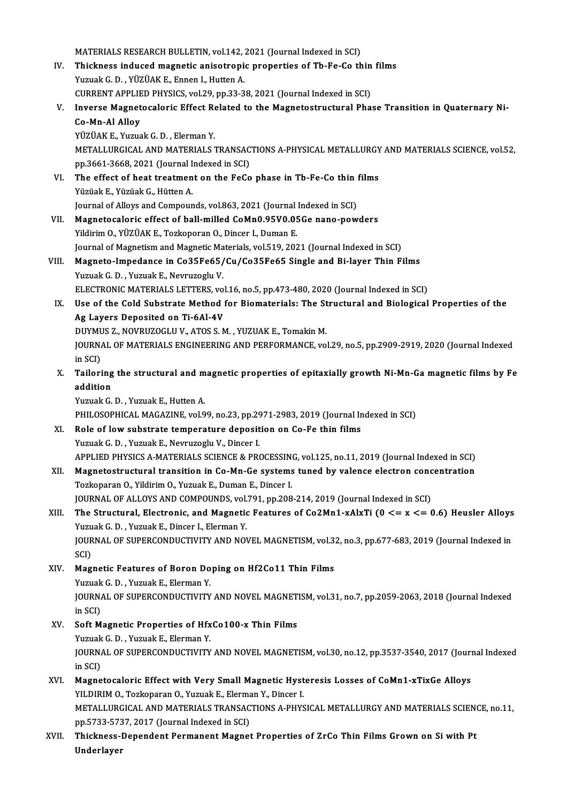MATERIALS RESEARCH BULLETIN, vol.142, 2021 (Journal Indexed in SCI)<br>Thielmess indused megnetic enjastranic properties of Th Ee Ce th

- MATERIALS RESEARCH BULLETIN, vol.142, 2021 (Journal Indexed in SCI)<br>IV. Thickness induced magnetic anisotropic properties of Tb-Fe-Co thin films<br>Vinual: C.D. YüzüAKE, Ennen L. Hutton A MATERIALS RESEARCH BULLETIN, vol.142, .<br>Thickness induced magnetic anisotropi<br>Yuzuak G. D. , YÜZÜAK E., Ennen I., Hutten A.<br>CUPPENT APPLIED PUYSICS .vol.29, pp.22-2 Thickness induced magnetic anisotropic properties of Tb-Fe-Co thin<br>Yuzuak G. D. , YÜZÜAK E., Ennen I., Hutten A.<br>CURRENT APPLIED PHYSICS, vol.29, pp.33-38, 2021 (Journal Indexed in SCI)<br>Inverse Magneteseleris Effect Belate Yuzuak G. D. , YÜZÜAK E., Ennen I., Hutten A.<br>CURRENT APPLIED PHYSICS, vol.29, pp.33-38, 2021 (Journal Indexed in SCI)<br>V. Inverse Magnetocaloric Effect Related to the Magnetostructural Phase Transition in Quaternary Ni
- CURRENT APPLIE<br>Inverse Magnet<br>Co-Mn-Al Alloy<br>vüzüAK E. Vuzua Inverse Magnetocaloric Effect Re<br>Co-Mn-Al Alloy<br>YÜZÜAK E., Yuzuak G. D. , Elerman Y.<br>METALLURCICAL AND MATERIALS ?

Co-Mn-Al Alloy<br>YÜZÜAK E., Yuzuak G. D. , Elerman Y.<br>METALLURGICAL AND MATERIALS TRANSACTIONS A-PHYSICAL METALLURGY AND MATERIALS SCIENCE, vol.52, pp.3661-3668,2021 (Journal Indexed inSCI) METALLURGICAL AND MATERIALS TRANSACTIONS A-PHYSICAL METALLURGY<br>pp.3661-3668, 2021 (Journal Indexed in SCI)<br>VI. The effect of heat treatment on the FeCo phase in Tb-Fe-Co thin films<br>Virials E. Virials C. Hütten A.

- pp.3661-3668, 2021 (Journal I<br>The effect of heat treatmen<br>Yüzüak E., Yüzüak G., Hütten A.<br>Journal of Allows and Compour The effect of heat treatment on the FeCo phase in Tb-Fe-Co thin !<br>Yüzüak E., Yüzüak G., Hütten A.<br>Journal of Alloys and Compounds, vol.863, 2021 (Journal Indexed in SCI)<br>Megneteerlerie effect of ball milled CoMp0.95V0.95Co Yüzüak E., Yüzüak G., Hütten A.<br>Journal of Alloys and Compounds, vol.863, 2021 (Journal Indexed in SCI)<br>VII. Magnetocaloric effect of ball-milled CoMn0.95V0.05Ge nano-powders
- Yildirim O., YÜZÜAK E., Tozkoporan O., Dincer I., Duman E. Journal of Magnetism and Magnetic Materials, vol.519, 2021 (Journal Indexed in SCI) Yildirim O., YÜZÜAK E., Tozkoporan O., Dincer I., Duman E.<br>Journal of Magnetism and Magnetic Materials, vol.519, 2021 (Journal Indexed in SCI)<br>VIII. Magneto-Impedance in Co35Fe65/Cu/Co35Fe65 Single and Bi-layer Thin Films<br>
- Journal of Magnetism and Magnetic Ma<br><mark>Magneto-Impedance in Co35Fe65/</mark><br>Yuzuak G. D. , Yuzuak E., Nevruzoglu V.<br>ELECTPONIC MATEDIALS LETTEDS. vo Magneto-Impedance in Co35Fe65/Cu/Co35Fe65 Single and Bi-layer Thin Films<br>Yuzuak G. D. , Yuzuak E., Nevruzoglu V.<br>ELECTRONIC MATERIALS LETTERS, vol.16, no.5, pp.473-480, 2020 (Journal Indexed in SCI)<br>Hee of the Cold Substra Yuzuak G. D. , Yuzuak E., Nevruzoglu V.<br>ELECTRONIC MATERIALS LETTERS, vol.16, no.5, pp.473-480, 2020 (Journal Indexed in SCI)<br>IX. Use of the Cold Substrate Method for Biomaterials: The Structural and Biological Properties
- ELECTRONIC MATERIALS LETTERS, volume of the Cold Substrate Method<br>Ag Layers Deposited on Ti-6Al-4V<br>DUWMUS 7 NOVPUZOCUJY ATOS S N Use of the Cold Substrate Method for Biomaterials: The St<br>Ag Layers Deposited on Ti-6Al-4V<br>DUYMUS Z., NOVRUZOGLU V., ATOS S.M. , YUZUAK E., Tomakin M.<br>JOUPMAL OF MATERIALS ENCINEERING AND REREOPMANCE vo DUYMUS Z., NOVRUZOGLU V., ATOS S. M., YUZUAK E., Tomakin M.

Ag Layers Deposited on Ti-6Al-4V<br>DUYMUS Z., NOVRUZOGLU V., ATOS S. M. , YUZUAK E., Tomakin M.<br>JOURNAL OF MATERIALS ENGINEERING AND PERFORMANCE, vol.29, no.5, pp.2909-2919, 2020 (Journal Indexed<br>in SCI) JOURNAL OF MATERIALS ENGINEERING AND PERFORMANCE, vol.29, no.5, pp.2909-2919, 2020 (Journal Indexed<br>in SCI)<br>X. Tailoring the structural and magnetic properties of epitaxially growth Ni-Mn-Ga magnetic films by Fe<br>addition

in SCI)<br>Tailoring<br>addition<br><sup>Vurnals C</sup> Tailoring the structural and m<br>addition<br>Yuzuak G. D. , Yuzuak E., Hutten A.<br>PHILOSOPHICAL MACAZINE vol 9

addition<br>Yuzuak G. D. , Yuzuak E., Hutten A.<br>PHILOSOPHICAL MAGAZINE, vol.99, no.23, pp.2971-2983, 2019 (Journal Indexed in SCI)

- XI. Role of lowsubstrate temperature deposition on Co-Fe thin films Yuzuak G.D., Yuzuak E., Nevruzoglu V., Dincer I. Role of low substrate temperature deposition on Co-Fe thin films<br>Yuzuak G. D. , Yuzuak E., Nevruzoglu V., Dincer I.<br>APPLIED PHYSICS A-MATERIALS SCIENCE & PROCESSING, vol.125, no.11, 2019 (Journal Indexed in SCI)<br>Megnetesty
- XII. Magnetostructural transition in Co-Mn-Ge systems tuned by valence electron concentration<br>Tozkoparan O., Yildirim O., Yuzuak E., Duman E., Dincer I. APPLIED PHYSICS A-MATERIALS SCIENCE & PROCESSING<br>Magnetostructural transition in Co-Mn-Ge systems<br>Tozkoparan O., Yildirim O., Yuzuak E., Duman E., Dincer I.<br>JOUPMAL OF ALLOYS AND COMPOUNDS -vol 791, pp.209 JOURNAL OF ALLOYS AND COMPOUNDS, vol.791, pp.208-214, 2019 (Journal Indexed in SCI)
- Tozkoparan O., Yildirim O., Yuzuak E., Duman E., Dincer I.<br>JOURNAL OF ALLOYS AND COMPOUNDS, vol.791, pp.208-214, 2019 (Journal Indexed in SCI)<br>XIII. The Structural, Electronic, and Magnetic Features of Co2Mn1-xAlxTi (0 <= JOURNAL OF ALLOYS AND COMPOUNDS, vol.<br>The Structural, Electronic, and Magnetic<br>Yuzuak G. D. , Yuzuak E., Dincer I., Elerman Y.<br>JOUPNAL OF SUPERCONDUCTIVITY AND NOV The Structural, Electronic, and Magnetic Features of Co2Mn1-xAlxTi (0 <= x <= 0.6) Heusler Alloys<br>Yuzuak G. D. , Yuzuak E., Dincer I., Elerman Y.<br>JOURNAL OF SUPERCONDUCTIVITY AND NOVEL MAGNETISM, vol.32, no.3, pp.677-683, Yuzu<br>JOUR<br>SCI)<br>Mag
- JOURNAL OF SUPERCONDUCTIVITY AND NOVEL MAGNETISM, vol.3.<br>SCI)<br>XIV. Magnetic Features of Boron Doping on Hf2Co11 Thin Films<br>Xuruak C.D. Xuruak E. Flarman V SCI)<br>Magnetic Features of Boron Do<br>Yuzuak G. D. , Yuzuak E., Elerman Y.<br>JOUPMAL OF SUPERCONDUCTIVITY JOURNAL OF SUPERCONDUCTIVITY AND NOVEL MAGNETISM, vol.31, no.7, pp.2059-2063, 2018 (Journal Indexed in SCI) Yuzuak G. D., Yuzuak E., Elerman Y. JOURNAL OF SUPERCONDUCTIVITY AND NOVEL MAGNET<br>in SCI)<br>XV. Soft Magnetic Properties of HfxCo100-x Thin Films<br>Vigual: C.D. Vigual: E. Flarman V.
- in SCI)<br>Soft Magnetic Properties of Hfx<br>Yuzuak G. D. , Yuzuak E., Elerman Y.<br>JOUPMAL OF SUPERCONDUCTIVITY JOURNAL OF SUPERCONDUCTIVITY AND NOVEL MAGNETISM, vol.30, no.12, pp.3537-3540, 2017 (Journal Indexed<br>in SCI) Yuzuak G.D., Yuzuak E., Elerman Y.
- XVI. Magnetocaloric Effect with Very Small Magnetic Hysteresis Losses of CoMn1-xTixGe Alloys in SCI)<br>Magnetocaloric Effect with Very Small Magnetic Hyst<br>YILDIRIM O., Tozkoparan O., Yuzuak E., Elerman Y., Dincer I.<br>METALLURCICAL AND MATERIALS TRANSACTIONS A BUYS METALLURGICAL AND MATERIALS TRANSACTIONS A-PHYSICAL METALLURGY AND MATERIALS SCIENCE, no.11,<br>pp.5733-5737, 2017 (Journal Indexed in SCI) YILDIRIM O., Tozkoparan O., Yuzuak E., Elerma<br>METALLURGICAL AND MATERIALS TRANSAC<br>pp.5733-5737, 2017 (Journal Indexed in SCI)<br>Thielmess Dependent Bermanent Mesnet METALLURGICAL AND MATERIALS TRANSACTIONS A-PHYSICAL METALLURGY AND MATERIALS SCIEN<br>pp.5733-5737, 2017 (Journal Indexed in SCI)<br>XVII. Thickness-Dependent Permanent Magnet Properties of ZrCo Thin Films Grown on Si with Pt<br>In
- pp.5733-573<br><mark>Thickness-</mark>l<br>Underlayer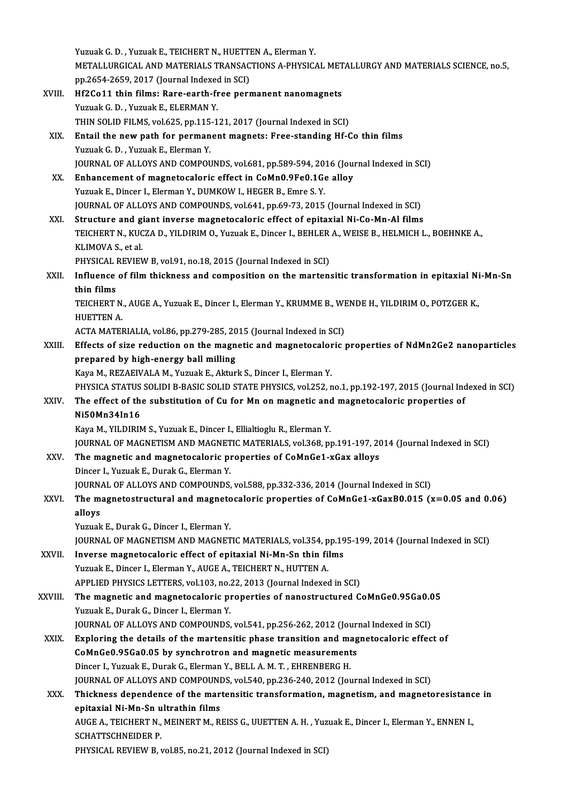|         | Yuzuak G. D., Yuzuak E., TEICHERT N., HUETTEN A., Elerman Y.                                                |
|---------|-------------------------------------------------------------------------------------------------------------|
|         | METALLURGICAL AND MATERIALS TRANSACTIONS A-PHYSICAL METALLURGY AND MATERIALS SCIENCE, no.5,                 |
|         | pp.2654-2659, 2017 (Journal Indexed in SCI)                                                                 |
| XVIII.  | Hf2Co11 thin films: Rare-earth-free permanent nanomagnets                                                   |
|         | Yuzuak G. D., Yuzuak E., ELERMAN Y.                                                                         |
|         | THIN SOLID FILMS, vol.625, pp.115-121, 2017 (Journal Indexed in SCI)                                        |
| XIX.    | Entail the new path for permanent magnets: Free-standing Hf-Co thin films                                   |
|         | Yuzuak G. D., Yuzuak E., Elerman Y.                                                                         |
|         | JOURNAL OF ALLOYS AND COMPOUNDS, vol.681, pp.589-594, 2016 (Journal Indexed in SCI)                         |
| XX.     | Enhancement of magnetocaloric effect in CoMn0.9Fe0.1Ge alloy                                                |
|         | Yuzuak E., Dincer I., Elerman Y., DUMKOW I., HEGER B., Emre S. Y.                                           |
|         | JOURNAL OF ALLOYS AND COMPOUNDS, vol.641, pp.69-73, 2015 (Journal Indexed in SCI)                           |
| XXI.    | Structure and giant inverse magnetocaloric effect of epitaxial Ni-Co-Mn-Al films                            |
|         | TEICHERT N., KUCZA D., YILDIRIM O., Yuzuak E., Dincer I., BEHLER A., WEISE B., HELMICH L., BOEHNKE A.,      |
|         | KLIMOVA S., et al.                                                                                          |
|         | PHYSICAL REVIEW B, vol.91, no.18, 2015 (Journal Indexed in SCI)                                             |
| XXII.   | Influence of film thickness and composition on the martensitic transformation in epitaxial Ni-Mn-Sn         |
|         | thin films                                                                                                  |
|         | TEICHERT N., AUGE A., Yuzuak E., Dincer I., Elerman Y., KRUMME B., WENDE H., YILDIRIM O., POTZGER K.,       |
|         | <b>HUETTEN A.</b>                                                                                           |
|         | ACTA MATERIALIA, vol.86, pp.279-285, 2015 (Journal Indexed in SCI)                                          |
| XXIII.  | Effects of size reduction on the magnetic and magnetocaloric properties of NdMn2Ge2 nanoparticles           |
|         | prepared by high-energy ball milling                                                                        |
|         | Kaya M., REZAEIVALA M., Yuzuak E., Akturk S., Dincer I., Elerman Y.                                         |
|         | PHYSICA STATUS SOLIDI B-BASIC SOLID STATE PHYSICS, vol.252, no.1, pp.192-197, 2015 (Journal Indexed in SCI) |
| XXIV    | The effect of the substitution of Cu for Mn on magnetic and magnetocaloric properties of                    |
|         | Ni50Mn34In16                                                                                                |
|         | Kaya M., YILDIRIM S., Yuzuak E., Dincer I., Ellialtioglu R., Elerman Y.                                     |
|         | JOURNAL OF MAGNETISM AND MAGNETIC MATERIALS, vol.368, pp.191-197, 2014 (Journal Indexed in SCI)             |
| XXV     | The magnetic and magnetocaloric properties of CoMnGe1-xGax alloys                                           |
|         | Dincer I., Yuzuak E., Durak G., Elerman Y.                                                                  |
|         | JOURNAL OF ALLOYS AND COMPOUNDS, vol.588, pp.332-336, 2014 (Journal Indexed in SCI)                         |
| XXVI.   | The magnetostructural and magnetocaloric properties of $Com6e1-xGaxB0.015$ ( $x=0.05$ and 0.06)             |
|         | alloys<br>Yuzuak E., Durak G., Dincer I., Elerman Y.                                                        |
|         | JOURNAL OF MAGNETISM AND MAGNETIC MATERIALS, vol.354, pp.195-199, 2014 (Journal Indexed in SCI)             |
| XXVII.  | Inverse magnetocaloric effect of epitaxial Ni-Mn-Sn thin films                                              |
|         | Yuzuak E., Dincer I., Elerman Y., AUGE A., TEICHERT N., HUTTEN A.                                           |
|         | APPLIED PHYSICS LETTERS, vol.103, no.22, 2013 (Journal Indexed in SCI)                                      |
| XXVIII. | The magnetic and magnetocaloric properties of nanostructured CoMnGe0.95Ga0.05                               |
|         | Yuzuak E., Durak G., Dincer I., Elerman Y.                                                                  |
|         | JOURNAL OF ALLOYS AND COMPOUNDS, vol.541, pp.256-262, 2012 (Journal Indexed in SCI)                         |
| XXIX.   | Exploring the details of the martensitic phase transition and magnetocaloric effect of                      |
|         | CoMnGe0.95Ga0.05 by synchrotron and magnetic measurements                                                   |
|         | Dincer I., Yuzuak E., Durak G., Elerman Y., BELL A. M. T., EHRENBERG H.                                     |
|         | JOURNAL OF ALLOYS AND COMPOUNDS, vol.540, pp.236-240, 2012 (Journal Indexed in SCI)                         |
| XXX.    | Thickness dependence of the martensitic transformation, magnetism, and magnetoresistance in                 |
|         | epitaxial Ni-Mn-Sn ultrathin films                                                                          |
|         | AUGE A., TEICHERT N., MEINERT M., REISS G., UUETTEN A. H., Yuzuak E., Dincer I., Elerman Y., ENNEN I.,      |
|         | <b>SCHATTSCHNEIDER P.</b>                                                                                   |
|         | PHYSICAL REVIEW B, vol.85, no.21, 2012 (Journal Indexed in SCI)                                             |
|         |                                                                                                             |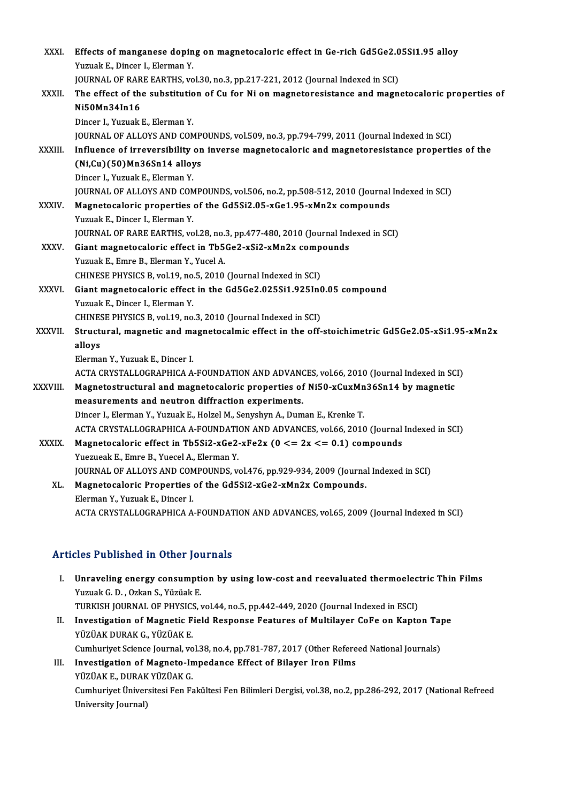| XXXI.        | Effects of manganese doping on magnetocaloric effect in Ge-rich Gd5Ge2.05Si1.95 alloy             |
|--------------|---------------------------------------------------------------------------------------------------|
|              | Yuzuak E., Dincer I., Elerman Y.                                                                  |
|              | JOURNAL OF RARE EARTHS, vol.30, no.3, pp.217-221, 2012 (Journal Indexed in SCI)                   |
| XXXII.       | The effect of the substitution of Cu for Ni on magnetoresistance and magnetocaloric properties of |
|              | Ni50Mn34In16                                                                                      |
|              | Dincer I., Yuzuak E., Elerman Y.                                                                  |
|              | JOURNAL OF ALLOYS AND COMPOUNDS, vol.509, no.3, pp.794-799, 2011 (Journal Indexed in SCI)         |
| XXXIII.      | Influence of irreversibility on inverse magnetocaloric and magnetoresistance properties of the    |
|              | $(Ni,Cu)$ (50)Mn36Sn14 alloys                                                                     |
|              | Dincer I., Yuzuak E., Elerman Y.                                                                  |
|              | JOURNAL OF ALLOYS AND COMPOUNDS, vol.506, no.2, pp.508-512, 2010 (Journal Indexed in SCI)         |
| <b>XXXIV</b> | Magnetocaloric properties of the Gd5Si2.05-xGe1.95-xMn2x compounds                                |
|              | Yuzuak E., Dincer I., Elerman Y.                                                                  |
|              | JOURNAL OF RARE EARTHS, vol.28, no.3, pp.477-480, 2010 (Journal Indexed in SCI)                   |
| <b>XXXV</b>  | Giant magnetocaloric effect in Tb5Ge2-xSi2-xMn2x compounds                                        |
|              | Yuzuak E., Emre B., Elerman Y., Yucel A.                                                          |
|              | CHINESE PHYSICS B, vol.19, no.5, 2010 (Journal Indexed in SCI)                                    |
| XXXVI.       | Giant magnetocaloric effect in the Gd5Ge2.025Si1.925In0.05 compound                               |
|              | Yuzuak E., Dincer I., Elerman Y.                                                                  |
|              | CHINESE PHYSICS B, vol.19, no.3, 2010 (Journal Indexed in SCI)                                    |
| XXXVII.      | Structural, magnetic and magnetocalmic effect in the off-stoichimetric Gd5Ge2.05-xSi1.95-xMn2x    |
|              | alloys                                                                                            |
|              | Elerman Y., Yuzuak E., Dincer I.                                                                  |
|              | ACTA CRYSTALLOGRAPHICA A-FOUNDATION AND ADVANCES, vol.66, 2010 (Journal Indexed in SCI)           |
| XXXVIII.     | Magnetostructural and magnetocaloric properties of Ni50-xCuxMn36Sn14 by magnetic                  |
|              | measurements and neutron diffraction experiments.                                                 |
|              | Dincer I., Elerman Y., Yuzuak E., Holzel M., Senyshyn A., Duman E., Krenke T.                     |
|              | ACTA CRYSTALLOGRAPHICA A-FOUNDATION AND ADVANCES, vol.66, 2010 (Journal Indexed in SCI)           |
| XXXIX.       | Magnetocaloric effect in Tb5Si2-xGe2-xFe2x ( $0 \le 2x \le 0.1$ ) compounds                       |
|              | Yuezueak E., Emre B., Yuecel A., Elerman Y.                                                       |
|              | JOURNAL OF ALLOYS AND COMPOUNDS, vol.476, pp.929-934, 2009 (Journal Indexed in SCI)               |
| XL.          | Magnetocaloric Properties of the Gd5Si2-xGe2-xMn2x Compounds.                                     |
|              | Elerman Y., Yuzuak E., Dincer I.                                                                  |
|              | ACTA CRYSTALLOGRAPHICA A-FOUNDATION AND ADVANCES, vol.65, 2009 (Journal Indexed in SCI)           |
|              |                                                                                                   |

# ACTA CRYSTALLOGRAPHICA A-FOONDAT<br>Articles Published in Other Journals

|      | Articles Published in Other Journals                                                                                           |
|------|--------------------------------------------------------------------------------------------------------------------------------|
| L.   | Unraveling energy consumption by using low-cost and reevaluated thermoelectric Thin Films<br>Yuzuak G. D., Ozkan S., Yüzüak E. |
|      | TURKISH JOURNAL OF PHYSICS, vol.44, no.5, pp.442-449, 2020 (Journal Indexed in ESCI)                                           |
| Н.   | Investigation of Magnetic Field Response Features of Multilayer CoFe on Kapton Tape<br>YÜZÜAK DURAK G., YÜZÜAK E               |
|      | Cumhuriyet Science Journal, vol.38, no.4, pp.781-787, 2017 (Other Refereed National Journals)                                  |
| III. | Investigation of Magneto-Impedance Effect of Bilayer Iron Films<br>YÜZÜAK E., DURAK YÜZÜAK G.                                  |
|      | Cumhuriyet Üniversitesi Fen Fakültesi Fen Bilimleri Dergisi, vol.38, no.2, pp.286-292, 2017 (National Refreed                  |
|      | University Lournall                                                                                                            |

YÜZÜAK E., DURAK<br>Cumhuriyet Üniver<br>University Journal)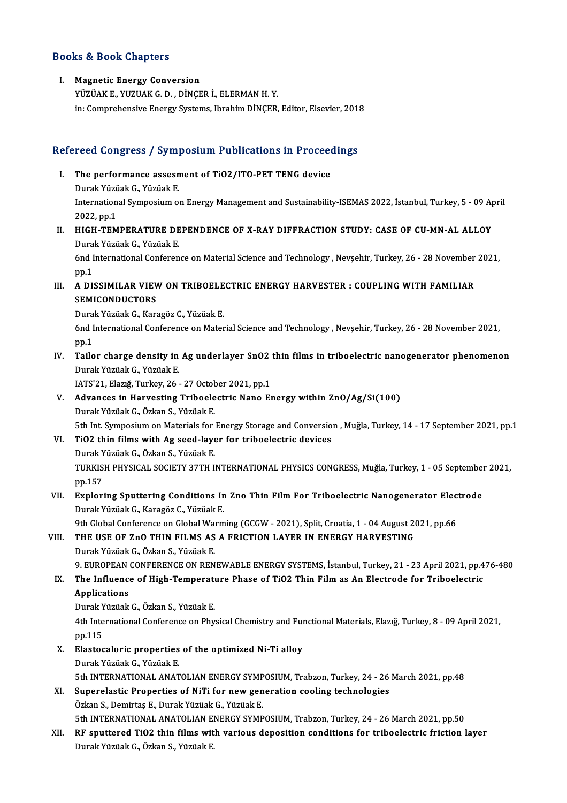### Books&Book Chapters

### I. Magnetic Energy Conversion

YÜZÜAKE.,YUZUAKG.D. ,DİNÇERİ.,ELERMANH.Y. in: Comprehensive Energy Systems, Ibrahim DİNÇER, Editor, Elsevier, 2018

# m: Comprenensive Energy Systems, ibranim DiNÇER, Editor, Elsevier, 2013<br>Refereed Congress / Symposium Publications in Proceedings

efereed Congress / Symposium Publications in Proceed<br>I. The performance assesment of TiO2/ITO-PET TENG device I. The performance assesment of TiO2/ITO-PET TENG device<br>Durak Yüzüak G., Yüzüak E. The performance assesment of TiO2/ITO-PET TENG device<br>Durak Yüzüak G., Yüzüak E.<br>International Symposium on Energy Management and Sustainability-ISEMAS 2022, İstanbul, Turkey, 5 - 09 April<br>2022.nr.1 Durak Yüzü<br>Internation<br>2022, pp.1<br>ЧІСЧ ТЕМ International Symposium on Energy Management and Sustainability-ISEMAS 2022, Istanbul, Turkey, 5 - 09 Ap<br>2022, pp.1<br>II. HIGH-TEMPERATURE DEPENDENCE OF X-RAY DIFFRACTION STUDY: CASE OF CU-MN-AL ALLOY<br>Durak Virgiak C. Virgia

# 2022, pp.1<br>II. HIGH-TEMPERATURE DEPENDENCE OF X-RAY DIFFRACTION STUDY: CASE OF CU-MN-AL ALLOY<br>Durak Yüzüak G., Yüzüak E. HIGH-TEMPERATURE DEPENDENCE OF X-RAY DIFFRACTION STUDY: CASE OF CU-MN-AL ALLOY<br>Durak Yüzüak G., Yüzüak E.<br>6nd International Conference on Material Science and Technology , Nevşehir, Turkey, 26 - 28 November 2021,<br>nn 1

Dura<br>6nd I<br>pp.1 6nd International Conference on Material Science and Technology , Nevşehir, Turkey, 26 - 28 November<br>pp.1<br>III. A DISSIMILAR VIEW ON TRIBOELECTRIC ENERGY HARVESTER : COUPLING WITH FAMILIAR<br>SEMICONDUCTORS

# pp.1<br>A DISSIMILAR VIEV<br>SEMICONDUCTORS<br>Durek Väräels G. Ker A DISSIMILAR VIEW ON TRIBOELE<br>SEMICONDUCTORS<br>Durak Yüzüak G., Karagöz C., Yüzüak E.<br>End International Conference on Mater

SEMICONDUCTORS<br>Durak Yüzüak G., Karagöz C., Yüzüak E.<br>6nd International Conference on Material Science and Technology , Nevşehir, Turkey, 26 - 28 November 2021,<br>nn 1 Dura<br>6nd I<br>pp.1<br>Teile IV. Tailor charge density in Ag underlayer SnO2 thin films in triboelectric nanogenerator phenomenon<br>IV. Tailor charge density in Ag underlayer SnO2 thin films in triboelectric nanogenerator phenomenon<br>Durak Virgiak G. Vir

# pp.1<br>IV. Tailor charge density in Ag underlayer SnO2 thin films in triboelectric nanogenerator phenomenon<br>Durak Yüzüak G., Yüzüak E. Tailor charge density in Ag underlayer SnO2<br>Durak Yüzüak G., Yüzüak E.<br>IATS'21, Elazığ, Turkey, 26 - 27 October 2021, pp.1<br>Advances in Harvesting Triboslastris Nana Er

## V. Advances in Harvesting Triboelectric Nano Energy within ZnO/Ag/Si(100) IATS'21, Elazığ, Turkey, 26 - 27 Octob<br>Advances in Harvesting Triboele<br>Durak Yüzüak G., Özkan S., Yüzüak E.<br>Eth Int Symnosium on Materiak for

5th Int. Symposium on Materials for Energy Storage and Conversion, Muğla, Turkey, 14 - 17 September 2021, pp.1

### VI. TiO2 thin films with Ag seed-layer for triboelectric devices DurakYüzüakG.,ÖzkanS.,YüzüakE. TiO2 thin films with Ag seed-layer for triboelectric devices<br>Durak Yüzüak G., Özkan S., Yüzüak E.<br>TURKISH PHYSICAL SOCIETY 37TH INTERNATIONAL PHYSICS CONGRESS, Muğla, Turkey, 1 - 05 September 2021,<br>nn 157 Durak Y<br>TURKIS<br>pp.157<br>Evnlori TURKISH PHYSICAL SOCIETY 37TH INTERNATIONAL PHYSICS CONGRESS, Muğla, Turkey, 1 - 05 September<br>pp.157<br>VII. Exploring Sputtering Conditions In Zno Thin Film For Triboelectric Nanogenerator Electrode

# pp.157<br><mark>Exploring Sputtering Conditions In</mark><br>Durak Yüzüak G., Karagöz C., Yüzüak E.<br><sup>Oth Clobal Conference on Clobal Werm</sup> Exploring Sputtering Conditions In Zno Thin Film For Triboelectric Nanogenerator Elec<br>Durak Yüzüak G., Karagöz C., Yüzüak E.<br>9th Global Conference on Global Warming (GCGW - 2021), Split, Croatia, 1 - 04 August 2021, pp.66<br>

## Durak Yüzüak G., Karagöz C., Yüzüak E.<br>9th Global Conference on Global Warming (GCGW - 2021), Split, Croatia, 1 - 04 August 2<br>10. THE USE OF ZnO THIN FILMS AS A FRICTION LAYER IN ENERGY HARVESTING 9th Global Conference on Global Wa<br>THE USE OF ZnO THIN FILMS AS<br>Durak Yüzüak G., Özkan S., Yüzüak E.<br>O. EUROPEAN CONFERENCE ON REN THE USE OF ZnO THIN FILMS AS A FRICTION LAYER IN ENERGY HARVESTING<br>Durak Yüzüak G., Özkan S., Yüzüak E.<br>9. EUROPEAN CONFERENCE ON RENEWABLE ENERGY SYSTEMS, İstanbul, Turkey, 21 - 23 April 2021, pp.476-480<br>The Influence of

## Durak Yüzüak G., Özkan S., Yüzüak E.<br>19. EUROPEAN CONFERENCE ON RENEWABLE ENERGY SYSTEMS, İstanbul, Turkey, 21 - 23 April 2021, pp.4<br>18. The Influence of High-Temperature Phase of TiO2 Thin Film as An Electrode for Triboel **9. EUROPEAN<br>The Influence<br>Applications**<br>Durck Väräck The Influence of High-Temperatı<br>Applications<br>Durak Yüzüak G., Özkan S., Yüzüak E.<br>4th International Conference on Phy

**Applications**<br>Durak Yüzüak G., Özkan S., Yüzüak E.<br>4th International Conference on Physical Chemistry and Functional Materials, Elazığ, Turkey, 8 - 09 April 2021, Durak Y<br>4th Inte<br>pp.115<br>Elestes 4th International Conference on Physical Chemistry and Furty pp.115<br>X. Elastocaloric properties of the optimized Ni-Ti alloy<br>Durak Vüzüak C. Vüzüak F

## pp.115<br>
X. Elastocaloric properties of the optimized Ni-Ti alloy<br>
Durak Yüzüak G., Yüzüak E. 5th INTERNATIONALANATOLIANENERGYSYMPOSIUM,Trabzon,Turkey,24 -26March 2021,pp.48

- XI. Superelastic Properties of NiTi for newgeneration cooling technologies ÖzkanS.,DemirtaşE.,DurakYüzüakG.,YüzüakE. Superelastic Properties of NiTi for new generation cooling technologies<br>Özkan S., Demirtaş E., Durak Yüzüak G., Yüzüak E.<br>5th INTERNATIONAL ANATOLIAN ENERGY SYMPOSIUM, Trabzon, Turkey, 24 - 26 March 2021, pp.50<br>PE sputtere
- XII. RF sputtered TiO2 thin films with various deposition conditions for triboelectric friction layer<br>Durak Yüzüak G., Özkan S., Yüzüak E. 5th INTERNATIONAL ANATOLIAN EI<br><mark>RF sputtered TiO2 thin films wit</mark><br>Durak Yüzüak G., Özkan S., Yüzüak E.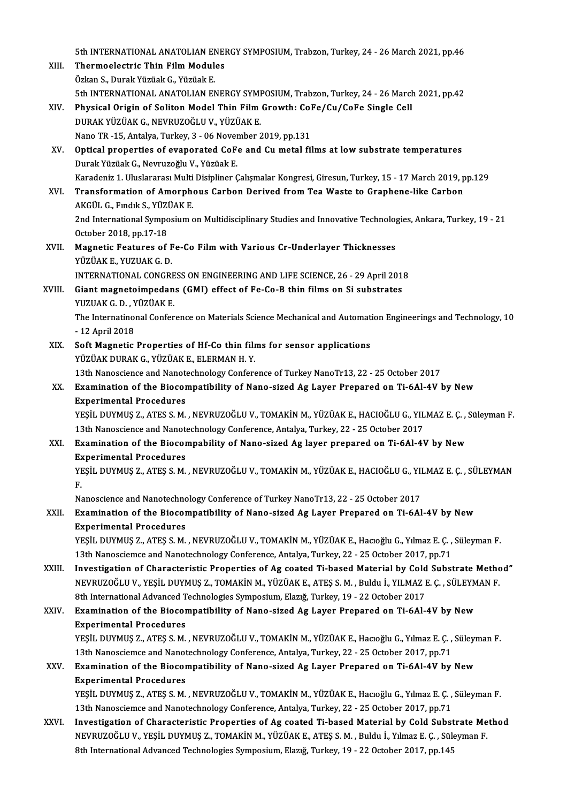5th INTERNATIONAL ANATOLIAN ENERGY SYMPOSIUM, Trabzon, Turkey, 24 - 26 March 2021, pp.46<br>Thenmoelestris Thin Eilm Modules

- 5th INTERNATIONAL ANATOLIAN ENET<br>XIII. Thermoelectric Thin Film Modules 5th INTERNATIONAL ANATOLIAN EN<br>Thermoelectric Thin Film Modul<br>Özkan S., Durak Yüzüak G., Yüzüak E.<br>Eth INTERNATIONAL ANATOLIAN EN Thermoelectric Thin Film Modules<br>Özkan S., Durak Yüzüak G., Yüzüak E.<br>5th INTERNATIONAL ANATOLIAN ENERGY SYMPOSIUM, Trabzon, Turkey, 24 - 26 March 2021, pp.42 Özkan S., Durak Yüzüak G., Yüzüak E.<br>5th INTERNATIONAL ANATOLIAN ENERGY SYMPOSIUM, Trabzon, Turkey, 24 - 26 Marc<br>XIV. Physical Origin of Soliton Model Thin Film Growth: CoFe/Cu/CoFe Single Cell<br>puracy vüzüak C. NEVRUZOČLU DURAKYÜZÜAKG.,NEVRUZOĞLUV.,YÜZÜAKE. Physical Origin of Soliton Model Thin Film Growth: Col<br>DURAK YÜZÜAK G., NEVRUZOĞLU V., YÜZÜAK E.<br>Nano TR -15, Antalya, Turkey, 3 - 06 November 2019, pp.131<br>Ontical proporties of evenerated GeFe and Gu metal fil XV. Optical properties of evaporated CoFe and Cumetal films at low substrate temperatures<br>Durak Yüzüak G., Nevruzoğlu V., Yüzüak E. Nano TR -15, Antalya, Turkey, 3 - 06 November 2019, pp.131 Optical properties of evaporated CoFe and Cu metal films at low substrate temperatures<br>Durak Yüzüak G., Nevruzoğlu V., Yüzüak E.<br>Karadeniz 1. Uluslararası Multi Disipliner Çalışmalar Kongresi, Giresun, Turkey, 15 - 17 Marc Durak Yüzüak G., Nevruzoğlu V., Yüzüak E.<br>Karadeniz 1. Uluslararası Multi Disipliner Çalışmalar Kongresi, Giresun, Turkey, 15 - 17 March 2019, p<br>XVI. Transformation of Amorphous Carbon Derived from Tea Waste to Graphen Karadeniz 1. Uluslararası Multi<br><mark>Transformation of Amorph</mark><br>AKGÜL G., Fındık S., YÜZÜAK E.<br>2nd International Sumposium e Transformation of Amorphous Carbon Derived from Tea Waste to Graphene-like Carbon<br>AKGÜL G., Fındık S., YÜZÜAK E.<br>2nd International Symposium on Multidisciplinary Studies and Innovative Technologies, Ankara, Turkey, 19 - 21 AKGÜL G., Fındık S., YÜZİ<br>2nd International Sympo<br>October 2018, pp.17-18<br>Magnatia Faatunas of XVII. Magnetic Features of Fe-Co Film with Various Cr-Underlayer Thicknesses<br>YÜZÜAK E., YUZUAK G. D. October 2018, pp.17-18<br>Magnetic Features of F<br>YÜZÜAK E., YUZUAK G. D.<br>INTERNATIONAL CONCRI INTERNATIONAL CONGRESS ON ENGINEERING AND LIFE SCIENCE, 26 - 29 April 2018 YÜZÜAK E., YUZUAK G. D.<br>INTERNATIONAL CONGRESS ON ENGINEERING AND LIFE SCIENCE, 26 - 29 April 201:<br>XVIII. Giant magnetoimpedans (GMI) effect of Fe-Co-B thin films on Si substrates<br>VIIZUAK G. D. VÜZÜAK E INTERNATIONAL CONGRE<br>Giant magnetoimpedan<br>YUZUAK G. D. , YÜZÜAK E.<br>The International Confor Giant magnetoimpedans (GMI) effect of Fe-Co-B thin films on Si substrates<br>YUZUAK G. D. , YÜZÜAK E.<br>The Internatinonal Conference on Materials Science Mechanical and Automation Engineerings and Technology, 10<br>12 Anril 2019 YUZUAK G.D., Y<br>The Internatino<br>- 12 April 2018<br>Soft Magnetic The Internatinonal Conference on Materials Science Mechanical and Automat<br>- 12 April 2018<br>XIX. Soft Magnetic Properties of Hf-Co thin films for sensor applications<br>VITIAR DUBAR C VITIAR F FLEBMAN H Y - 12 April 2018<br>Soft Magnetic Properties of Hf-Co thin films for sensor applications<br>YÜZÜAK DURAK G., YÜZÜAK E., ELERMAN H. Y. Soft Magnetic Properties of Hf-Co thin films for sensor applications<br>13th Nanoscience and Nanotechnology Conference of Turkey NanoTr13, 22 - 25 October 2017<br>Examination of the Biasamnatibility of Nano sized As Laver Proper XX. Examination of the Biocompatibility of Nano-sized Ag Layer Prepared on Ti-6Al-4V by New 13th Nanoscience and Nanote<br>Examination of the Biocor<br>Experimental Procedures<br>VESU DUVMUS 7 ATES S M Examination of the Biocompatibility of Nano-sized Ag Layer Prepared on Ti-6Al-4V by New<br>Experimental Procedures<br>YEŞİL DUYMUŞ Z., ATES S.M. , NEVRUZOĞLU V., TOMAKİN M., YÜZÜAK E., HACIOĞLU G., YILMAZ E. Ç. , Süleyman F.<br>12t Experimental Procedures<br>YEŞİL DUYMUŞ Z., ATES S. M. , NEVRUZOĞLU V., TOMAKİN M., YÜZÜAK E., HACIOĞLU G., YIL<br>13th Nanoscience and Nanotechnology Conference, Antalya, Turkey, 22 - 25 October 2017<br>Evamination of the Biasampa YEŞİL DUYMUŞ Z., ATES S. M. , NEVRUZOĞLU V., TOMAKİN M., YÜZÜAK E., HACIOĞLU G., YILMAZ E. Ç. ,<br>13th Nanoscience and Nanotechnology Conference, Antalya, Turkey, 22 - 25 October 2017<br>XXI. Examination of the Biocompability o 13th Nanoscience and Nanote<br>Examination of the Biocor<br>Experimental Procedures<br>VESU DUVMUS 7 ATES S M Experimental Procedures<br>YEŞİL DUYMUŞ Z., ATEŞ S. M. , NEVRUZOĞLU V., TOMAKİN M., YÜZÜAK E., HACIOĞLU G., YILMAZ E. Ç. , SÜLEYMAN<br>F. Ex<br>YE<br>F. YEŞİL DUYMUŞ Z., ATEŞ S. M. , NEVRUZOĞLU V., TOMAKİN M., YÜZÜAK E., HACIOĞLU G., YII<br>F.<br>Nanoscience and Nanotechnology Conference of Turkey NanoTr13, 22 - 25 October 2017<br>Examination of the Biasamnatibility of Nano sirod A XXII. Examination of the Biocompatibility of Nano-sized Ag Layer Prepared on Ti-6Al-4V by New<br>Experimental Procedures Nanoscience and Nanotechno<br>Examination of the Biocor<br>Experimental Procedures<br>VESU DUVMUS 7 ATES S M Examination of the Biocompatibility of Nano-sized Ag Layer Prepared on Ti-6Al-4V by New<br>Experimental Procedures<br>YEŞİL DUYMUŞ Z., ATEŞ S.M. , NEVRUZOĞLU V., TOMAKİN M., YÜZÜAK E., Hacıoğlu G., Yılmaz E. Ç. , Süleyman F.<br>12t Experimental Procedures<br>YEŞİL DUYMUŞ Z., ATEŞ S. M. , NEVRUZOĞLU V., TOMAKİN M., YÜZÜAK E., Hacıoğlu G., Yılmaz E. Ç. ,<br>13th Nanosciemce and Nanotechnology Conference, Antalya, Turkey, 22 - 25 October 2017, pp.71<br>Investiga YEŞİL DUYMUŞ Z., ATEŞ S. M. , NEVRUZOĞLU V., TOMAKİN M., YÜZÜAK E., Hacıoğlu G., Yılmaz E. Ç. , Süleyman F.<br>13th Nanosciemce and Nanotechnology Conference, Antalya, Turkey, 22 - 25 October 2017, pp.71<br>XXIII. Investigation 13th Nanosciemce and Nanotechnology Conference, Antalya, Turkey, 22 - 25 October 2017, pp.71<br>Investigation of Characteristic Properties of Ag coated Ti-based Material by Cold Substrate Metho<br>NEVRUZOĞLU V., YEŞİL DUYMUŞ Z., Investigation of Characteristic Properties of Ag coated Ti-based Material by Cold<br>NEVRUZOĞLU V., YEŞİL DUYMUŞ Z., TOMAKİN M., YÜZÜAK E., ATEŞ S. M. , Buldu İ., YILMAZ I<br>8th International Advanced Technologies Symposium, El NEVRUZOĞLU V., YEŞİL DUYMUŞ Z., TOMAKİN M., YÜZÜAK E., ATEŞ S. M. , Buldu İ., YILMAZ E. Ç. , SÜLEYMAN F.<br>8th International Advanced Technologies Symposium, Elazığ, Turkey, 19 - 22 October 2017<br>XXIV. Examination of the 8th International Advanced Technologies Symposium, Elaziğ, Turkey, 19 - 22 October 2017 Examination of the Biocompatibility of Nano-sized Ag Layer Prepared on Ti-6Al-4V by New<br>Experimental Procedures<br>YEŞİL DUYMUŞ Z., ATEŞ S. M. , NEVRUZOĞLU V., TOMAKİN M., YÜZÜAK E., Hacıoğlu G., Yılmaz E. Ç. , Süleyman F.<br>12 Experimental Procedures<br>YEŞİL DUYMUŞ Z., ATEŞ S. M. , NEVRUZOĞLU V., TOMAKİN M., YÜZÜAK E., Hacıoğlu G., Yılmaz E. Ç. ,<br>13th Nanosciemce and Nanotechnology Conference, Antalya, Turkey, 22 - 25 October 2017, pp.71<br>Examinati YEŞİL DUYMUŞ Z., ATEŞ S. M. , NEVRUZOĞLU V., TOMAKİN M., YÜZÜAK E., Hacıoğlu G., Yılmaz E. Ç. , Süleyı<br>13th Nanosciemce and Nanotechnology Conference, Antalya, Turkey, 22 - 25 October 2017, pp.71<br>XXV. Examination of the Bi 13th Nanosciemce and Nanotechnology Conference, Antalya, Turkey, 22 - 25 October 2017, pp.71<br>Examination of the Biocompatibility of Nano-sized Ag Layer Prepared on Ti-6Al-4V by New<br>Experimental Procedures Examination of the Biocompatibility of Nano-sized Ag Layer Prepared on Ti-6Al-4V by New<br>Experimental Procedures<br>YEŞİL DUYMUŞ Z., ATEŞ S. M. , NEVRUZOĞLU V., TOMAKİN M., YÜZÜAK E., Hacıoğlu G., Yılmaz E. Ç. , Süleyman F.<br>12 Experimental Procedures<br>YEŞİL DUYMUŞ Z., ATEŞ S. M. , NEVRUZOĞLU V., TOMAKİN M., YÜZÜAK E., Hacıoğlu G., Yılmaz E. Ç. ,<br>13th Nanosciemce and Nanotechnology Conference, Antalya, Turkey, 22 - 25 October 2017, pp.71<br>Investiga YEŞİL DUYMUŞ Z., ATEŞ S. M. , NEVRUZOĞLU V., TOMAKİN M., YÜZÜAK E., Hacıoğlu G., Yılmaz E. Ç. , Süleyman F.<br>13th Nanosciemce and Nanotechnology Conference, Antalya, Turkey, 22 - 25 October 2017, pp.71<br>XXVI. Investigation o 13th Nanosciemce and Nanotechnology Conference, Antalya, Turkey, 22 - 25 October 2017, pp.71<br>Investigation of Characteristic Properties of Ag coated Ti-based Material by Cold Substrate Method<br>NEVRUZOĞLU V., YEŞİL DUYMUŞ Z.
- 8th International Advanced Technologies Symposium, Elazığ, Turkey, 19 22 October 2017, pp.145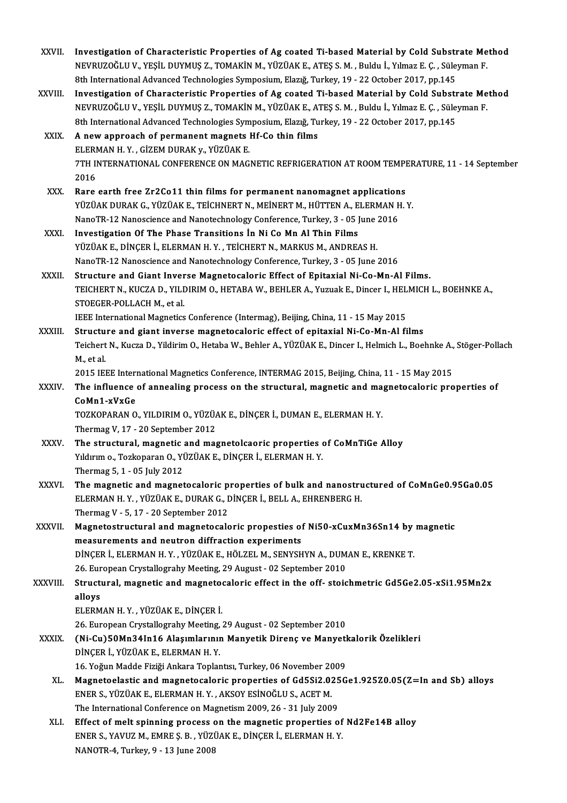| XXVII.       | Investigation of Characteristic Properties of Ag coated Ti-based Material by Cold Substrate Method<br>NEVRUZOĞLU V., YEŞİL DUYMUŞ Z., TOMAKİN M., YÜZÜAK E., ATEŞ S. M., Buldu İ., Yılmaz E. Ç., Süleyman F.<br>8th International Advanced Technologies Symposium, Elazığ, Turkey, 19 - 22 October 2017, pp.145         |
|--------------|-------------------------------------------------------------------------------------------------------------------------------------------------------------------------------------------------------------------------------------------------------------------------------------------------------------------------|
| XXVIII.      | Investigation of Characteristic Properties of Ag coated Ti-based Material by Cold Substrate Method<br>NEVRUZOĞLU V., YEŞİL DUYMUŞ Z., TOMAKİN M., YÜZÜAK E., ATEŞ S. M., Buldu İ., Yılmaz E. Ç., Süleyman F.<br>8th International Advanced Technologies Symposium, Elazığ, Turkey, 19 - 22 October 2017, pp.145         |
| XXIX.        | A new approach of permanent magnets Hf-Co thin films<br>ELERMAN H.Y., GİZEM DURAK y., YÜZÜAK E.<br>7TH INTERNATIONAL CONFERENCE ON MAGNETIC REFRIGERATION AT ROOM TEMPERATURE, 11 - 14 September                                                                                                                        |
| XXX.         | 2016<br>Rare earth free Zr2Co11 thin films for permanent nanomagnet applications<br>YÜZÜAK DURAK G., YÜZÜAK E., TEİCHNERT N., MEİNERT M., HÜTTEN A., ELERMAN H.Y.<br>NanoTR-12 Nanoscience and Nanotechnology Conference, Turkey, 3 - 05 June 2016                                                                      |
| XXXI.        | Investigation Of The Phase Transitions In Ni Co Mn Al Thin Films<br>YÜZÜAK E., DİNÇER İ., ELERMAN H.Y., TEİCHERT N., MARKUS M., ANDREAS H.<br>NanoTR-12 Nanoscience and Nanotechnology Conference, Turkey, 3 - 05 June 2016                                                                                             |
| XXXII.       | Structure and Giant Inverse Magnetocaloric Effect of Epitaxial Ni-Co-Mn-Al Films.<br>TEICHERT N., KUCZA D., YILDIRIM O., HETABA W., BEHLER A., Yuzuak E., Dincer I., HELMICH L., BOEHNKE A.,<br>STOEGER-POLLACH M., et al.<br>IEEE International Magnetics Conference (Intermag), Beijing, China, 11 - 15 May 2015      |
| XXXIII.      | Structure and giant inverse magnetocaloric effect of epitaxial Ni-Co-Mn-Al films<br>Teichert N., Kucza D., Yildirim O., Hetaba W., Behler A., YÜZÜAK E., Dincer I., Helmich L., Boehnke A., Stöger-Pollach<br>M, et al<br>2015 IEEE International Magnetics Conference, INTERMAG 2015, Beijing, China, 11 - 15 May 2015 |
| <b>XXXIV</b> | The influence of annealing process on the structural, magnetic and magnetocaloric properties of<br>CoMn1-xVxGe<br>TOZKOPARAN O., YILDIRIM O., YÜZÜAK E., DİNÇER İ., DUMAN E., ELERMAN H.Y.                                                                                                                              |
| XXXV         | Thermag V, 17 - 20 September 2012<br>The structural, magnetic and magnetolcaoric properties of CoMnTiGe Alloy<br>Yıldırım o., Tozkoparan O., YÜZÜAK E., DİNÇER İ., ELERMAN H.Y.<br>Thermag 5, 1 - 05 July 2012                                                                                                          |
| <b>XXXVI</b> | The magnetic and magnetocaloric properties of bulk and nanostructured of CoMnGe0.95Ga0.05<br>ELERMAN H.Y., YÜZÜAK E., DURAK G., DİNÇER İ., BELL A., EHRENBERG H.<br>Thermag V - 5, 17 - 20 September 2012                                                                                                               |
| XXXVII.      | Magnetostructural and magnetocaloric propesties of Ni50-xCuxMn36Sn14 by magnetic<br>measurements and neutron diffraction experiments<br>DİNÇER İ., ELERMAN H.Y., YÜZÜAK E., HÖLZEL M., SENYSHYN A., DUMAN E., KRENKE T.<br>26. European Crystallograhy Meeting, 29 August - 02 September 2010                           |
| XXXVIII.     | Structural, magnetic and magnetocaloric effect in the off- stoichmetric Gd5Ge2.05-xSi1.95Mn2x<br>alloys<br>ELERMAN H.Y., YÜZÜAK E., DİNÇER İ.<br>26. European Crystallograhy Meeting, 29 August - 02 September 2010                                                                                                     |
| <b>XXXIX</b> | (Ni-Cu)50Mn34In16 Alaşımlarının Manyetik Direnç ve Manyetkalorik Özelikleri<br>DİNÇER İ., YÜZÜAK E., ELERMAN H.Y.<br>16. Yoğun Madde Fiziği Ankara Toplantısı, Turkey, 06 November 2009                                                                                                                                 |
| XL.          | Magnetoelastic and magnetocaloric properties of Gd5Si2.025Ge1.925Z0.05(Z=In and Sb) alloys<br>ENER S., YÜZÜAK E., ELERMAN H. Y., AKSOY ESİNOĞLU S., ACET M.<br>The International Conference on Magnetism 2009, 26 - 31 July 2009                                                                                        |
| XLI.         | Effect of melt spinning process on the magnetic properties of Nd2Fe14B alloy<br>ENER S., YAVUZ M., EMRE Ş. B., YÜZÜAK E., DİNÇER İ., ELERMAN H. Y.<br>NANOTR-4, Turkey, 9 - 13 June 2008                                                                                                                                |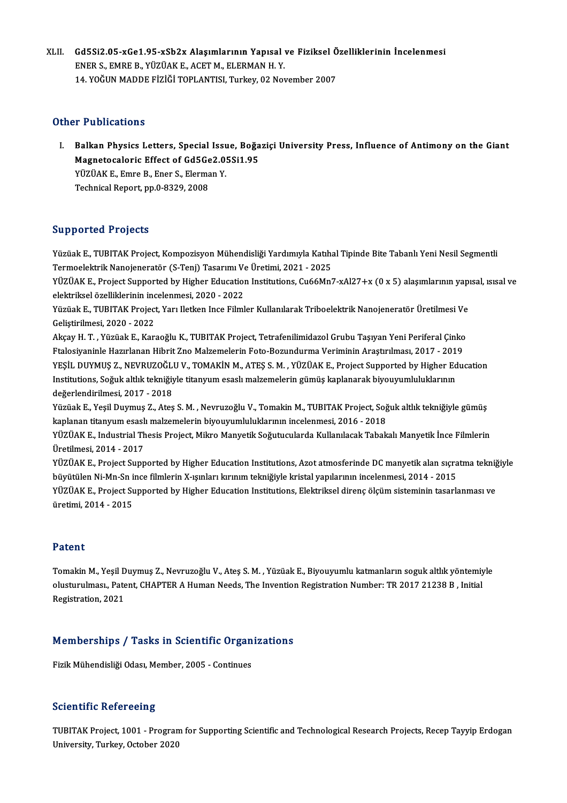XLII. Gd5Si2.05-xGe1.95-xSb2x Alaşımlarının Yapısal ve Fiziksel Özelliklerinin İncelenmesi<br>ENERS, EMPE P. VÜZÜAK E. ACET M. ELERMAN H.V. Gd5Si2.05-xGe1.95-xSb2x Alaşımlarının Yapısal<br>ENER S., EMRE B., YÜZÜAK E., ACET M., ELERMAN H. Y.<br>14 YOĞUN MADDE FİZİĞİ TOPLANTISL Turkey, 03 No Gd5Si2.05-xGe1.95-xSb2x Alaşımlarının Yapısal ve Fiziksel Ö<br>ENER S., EMRE B., YÜZÜAK E., ACET M., ELERMAN H. Y.<br>14. YOĞUN MADDE FİZİĞİ TOPLANTISI, Turkey, 02 November 2007 14. YOĞUN MADDE FİZİĞİ TOPLANTISI, Turkey, 02 November 2007<br>Other Publications

ther Publications<br>I. Balkan Physics Letters, Special Issue, Boğaziçi University Press, Influence of Antimony on the Giant<br>Magnetosaleris Effect of Cd5Co2 05Si1 95 The Monderond<br>Balkan Physics Letters, Special Issue, Boğa<br>Magnetocaloric Effect of Gd5Ge2.05Si1.95<br>VÜZÜAKE Emre B. Ener S. Elerman V. Balkan Physics Letters, Special Issu<br>Magnetocaloric Effect of Gd5Ge2.0!<br>YÜZÜAK E., Emre B., Ener S., Elerman Y.<br>Technical Bonort nn 0,9329, 2009. Magnetocaloric Effect of Gd5Ge2.05Si1.95<br>YÜZÜAK E., Emre B., Ener S., Elerman Y.<br>Technical Report, pp.0-8329, 2008

### Supported Projects

Supported Projects<br>Yüzüak E., TUBITAK Project, Kompozisyon Mühendisliği Yardımıyla Katıhal Tipinde Bite Tabanlı Yeni Nesil Segmentli<br>Termeslektrik Napojaneratör (S. Teni) Tegarımı Ve Üretimi, 2021, 2025 Supportsar i rojseas<br>Yüzüak E., TUBITAK Project, Kompozisyon Mühendisliği Yardımıyla Katıha<br>Termoelektrik Nanojeneratör (S-Tenj) Tasarımı Ve Üretimi, 2021 - 2025<br>YüzüAK E. Prejest Supported by Hisbor Education Institutions Yüzüak E., TUBITAK Project, Kompozisyon Mühendisliği Yardımıyla Katıhal Tipinde Bite Tabanlı Yeni Nesil Segmentli<br>Termoelektrik Nanojeneratör (S-Tenj) Tasarımı Ve Üretimi, 2021 - 2025<br>YÜZÜAK E., Project Supported by Higher

Termoelektrik Nanojeneratör (S-Tenj) Tasarımı Ve<br>YÜZÜAK E., Project Supported by Higher Education<br>elektriksel özelliklerinin incelenmesi, 2020 - 2022<br>Yüzüak E. TURITAK Project Varı Hetkon Ince Filml YÜZÜAK E., Project Supported by Higher Education Institutions, Cu66Mn7-xAl27+x (0 x 5) alaşımlarının yap:<br>elektriksel özelliklerinin incelenmesi, 2020 - 2022<br>Yüzüak E., TUBITAK Project, Yarı Iletken Ince Filmler Kullanılar

elektriksel özelliklerinin inc<br>Yüzüak E., TUBITAK Project<br>Geliştirilmesi, 2020 - 2022<br>Akaay H. T. - Yüzüak E. Kar Yüzüak E., TUBITAK Project, Yarı Iletken Ince Filmler Kullanılarak Triboelektrik Nanojeneratör Üretilmesi Ve<br>Geliştirilmesi, 2020 - 2022<br>Akçay H. T. , Yüzüak E., Karaoğlu K., TUBITAK Project, Tetrafenilimidazol Grubu Taşıy

Geliştirilmesi, 2020 - 2022<br>Akçay H. T. , Yüzüak E., Karaoğlu K., TUBITAK Project, Tetrafenilimidazol Grubu Taşıyan Yeni Periferal Çinko<br>Ftalosiyaninle Hazırlanan Hibrit Zno Malzemelerin Foto-Bozundurma Veriminin Araştırıl Akçay H. T. , Yüzüak E., Karaoğlu K., TUBITAK Project, Tetrafenilimidazol Grubu Taşıyan Yeni Periferal Çinko<br>Ftalosiyaninle Hazırlanan Hibrit Zno Malzemelerin Foto-Bozundurma Veriminin Araştırılması, 2017 - 2019<br>YEŞİL DUYM Ftalosiyaninle Hazırlanan Hibrit Zno Malzemelerin Foto-Bozundurma Veriminin Araştırılması, 2017 - 201<br>YEŞİL DUYMUŞ Z., NEVRUZOĞLU V., TOMAKİN M., ATEŞ S. M. , YÜZÜAK E., Project Supported by Higher Ed<br>Institutions, Soğuk a YEŞİL DUYMUŞ Z., NEVRUZOĞL!<br>Institutions, Soğuk altlık tekniğiy<br>değerlendirilmesi, 2017 - 2018<br>Yüzüek E. Yeşil Duymuş 7... Ates Institutions, Soğuk altlık tekniğiyle titanyum esaslı malzemelerin gümüş kaplanarak biyouyumluluklarının<br>değerlendirilmesi, 2017 - 2018<br>Yüzüak E., Yeşil Duymuş Z., Ateş S. M. , Nevruzoğlu V., Tomakin M., TUBITAK Project, S

değerlendirilmesi, 2017 - 2018<br>Yüzüak E., Yeşil Duymuş Z., Ateş S. M. , Nevruzoğlu V., Tomakin M., TUBITAK Project, Soğ<br>kaplanan titanyum esaslı malzemelerin biyouyumluluklarının incelenmesi, 2016 - 2018<br>YüzüAK E. Industri Yüzüak E., Yeşil Duymuş Z., Ateş S. M. , Nevruzoğlu V., Tomakin M., TUBITAK Project, Soğuk altlık tekniğiyle gümüş<br>kaplanan titanyum esaslı malzemelerin biyouyumluluklarının incelenmesi, 2016 - 2018<br>YÜZÜAK E., Industrial T

kaplanan titanyum esaslı malzemelerin biyouyumluluklarının incelenmesi, 2016 - 2018<br>YÜZÜAK E., Industrial Thesis Project, Mikro Manyetik Soğutucularda Kullanılacak Tabakalı Manyetik İnce Filmlerin<br>Üretilmesi, 2014 - 2017 YÜZÜAK E., Industrial Thesis Project, Mikro Manyetik Soğutucularda Kullanılacak Tabakalı Manyetik İnce Filmlerin<br>Üretilmesi, 2014 - 2017<br>YÜZÜAK E., Project Supported by Higher Education Institutions, Azot atmosferinde DC m

Üretilmesi, 2014 - 2017<br>YÜZÜAK E., Project Supported by Higher Education Institutions, Azot atmosferinde DC manyetik alan sıçra<br>büyütülen Ni-Mn-Sn ince filmlerin X-ışınları kırınım tekniğiyle kristal yapılarının incelenmes YÜZÜAK E., Project Supported by Higher Education Institutions, Azot atmosferinde DC manyetik alan sıçratma tekniğ<br>büyütülen Ni-Mn-Sn ince filmlerin X-ışınları kırınım tekniğiyle kristal yapılarının incelenmesi, 2014 - 2015 büyütülen Ni-Mn-Sn ince filmlerin X-ışınları kırınım tekniğiyle kristal yapılarının incelenmesi, 2014 - 2015<br>YÜZÜAK E., Project Supported by Higher Education Institutions, Elektriksel direnç ölçüm sisteminin tasarlanması v

### Patent

**Patent**<br>Tomakin M., Yeşil Duymuş Z., Nevruzoğlu V., Ateş S. M. , Yüzüak E., Biyouyumlu katmanların soguk altlık yöntemiyle<br>olusturulması, Patent, CHAPTER A Human Needs, The Invention Pegistration Number: TP 2017 21228 P., r deelre<br>Tomakin M., Yeşil Duymuş Z., Nevruzoğlu V., Ateş S. M. , Yüzüak E., Biyouyumlu katmanların soguk altlık yöntemiy<br>Olusturulması., Patent, CHAPTER A Human Needs, The Invention Registration Number: TR 2017 21238 B , Tomakin M., Yeşil D<br>olusturulması., Pate<br>Registration, 2021

# Registration, 2021<br>Memberships / Tasks in Scientific Organizations **Memberships / Tasks in Scientific Organ<br>Fizik Mühendisliği Odası, Member, 2005 - Continues**

Fizik Mühendisliği Odası, Member, 2005 - Continues<br>Scientific Refereeing

TUBITAK Project, 1001 - Program for Supporting Scientific and Technological Research Projects, Recep Tayyip Erdogan University, Turkey, October 2020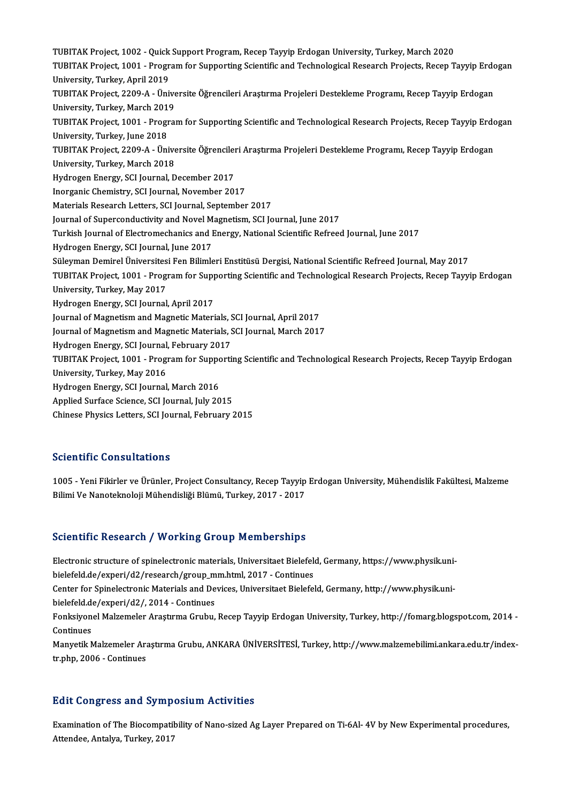TUBITAK Project, 1002 - Quick Support Program, Recep Tayyip Erdogan University, Turkey, March 2020<br>TUBITAK Project, 1002 - Quick Support Program, Recep Tayyip Erdogan University, Turkey, March 2020 TUBITAK Project, 1002 - Quick Support Program, Recep Tayyip Erdogan University, Turkey, March 2020<br>TUBITAK Project, 1001 - Program for Supporting Scientific and Technological Research Projects, Recep Tayyip Erdogan TUBITAK Project, 1002 - Quick<br>TUBITAK Project, 1001 - Progr<br>University, Turkey, April 2019<br>TUBITAK Project, 2200 A., Üni TUBITAK Project, 1001 - Program for Supporting Scientific and Technological Research Projects, Recep Tayyip Erdc<br>University, Turkey, April 2019<br>TUBITAK Project, 2209-A - Üniversite Öğrencileri Araştırma Projeleri Desteklem University, Turkey, April 2019<br>TUBITAK Project, 2209-A - Üniversite Öğrencileri Araştırma Projeleri Destekleme Programı, Recep Tayyip Erdogan<br>University, Turkey, March 2019 TUBITAK Project, 2209-A - Üniversite Öğrencileri Araştırma Projeleri Destekleme Programı, Recep Tayyip Erdogan<br>University, Turkey, March 2019<br>TUBITAK Project, 1001 - Program for Supporting Scientific and Technological Rese University, Turkey, March 201<br>TUBITAK Project, 1001 - Progr<br>University, Turkey, June 2018<br>TUBITAK Project 2209 A - Üni TUBITAK Project, 1001 - Program for Supporting Scientific and Technological Research Projects, Recep Tayyip Erdc<br>University, Turkey, June 2018<br>TUBITAK Project, 2209-A - Üniversite Öğrencileri Araştırma Projeleri Destekleme University, Turkey, June 2018<br>TUBITAK Project, 2209-A - Ünive<br>University, Turkey, March 2018<br>Hydrogen Energy, SCI Journal D TUBITAK Project, 2209-A - Üniversite Öğrencileri Araştırma Projeleri Destekleme Programı, Recep Tayyip Erdogan<br>University, Turkey, March 2018<br>Hydrogen Energy, SCI Journal, December 2017 Inorganic Chemistry, SCI Journal, November 2017 Materials Research Letters, SCI Journal, September 2017 Journal of Superconductivity and Novel Magnetism, SCI Journal, June 2017 Materials Research Letters, SCI Journal, September 2017<br>Journal of Superconductivity and Novel Magnetism, SCI Journal, June 2017<br>Turkish Journal of Electromechanics and Energy, National Scientific Refreed Journal, June 201 Journal of Superconductivity and Novel M<br>Turkish Journal of Electromechanics and I<br>Hydrogen Energy, SCI Journal, June 2017<br>Süleyman Domirel Üniversitesi Een Bilimle Turkish Journal of Electromechanics and Energy, National Scientific Refreed Journal, June 2017<br>Hydrogen Energy, SCI Journal, June 2017<br>Süleyman Demirel Üniversitesi Fen Bilimleri Enstitüsü Dergisi, National Scientific Refr Hydrogen Energy, SCI Journal, June 2017<br>Süleyman Demirel Üniversitesi Fen Bilimleri Enstitüsü Dergisi, National Scientific Refreed Journal, May 2017<br>TUBITAK Project, 1001 - Program for Supporting Scientific and Technologic Süleyman Demirel Üniversites<br>TUBITAK Project, 1001 - Prog<br>University, Turkey, May 2017<br>Hydnogen Energy, SCI Journal TUBITAK Project, 1001 - Program for Sup<sub>l</sub><br>University, Turkey, May 2017<br>Hydrogen Energy, SCI Journal, April 2017<br>Journal of Magnetism and Magnetis Materi University, Turkey, May 2017<br>Hydrogen Energy, SCI Journal, April 2017<br>Journal of Magnetism and Magnetic Materials, SCI Journal, April 2017<br>Journal of Magnetism and Magnetic Materials, SCI Journal, March 2017 Hydrogen Energy, SCI Journal, April 2017<br>Journal of Magnetism and Magnetic Materials, SCI Journal, April 2017<br>Journal of Magnetism and Magnetic Materials, SCI Journal, March 2017<br>Hydrogen Energy, SCI Journal, Eebruary 2017 Journal of Magnetism and Magnetic Materials, S<br>Journal of Magnetism and Magnetic Materials, S<br>Hydrogen Energy, SCI Journal, February 2017<br>TURITAK Project, 1001 - Program for Sunnerti Journal of Magnetism and Magnetic Materials, SCI Journal, March 2017<br>Hydrogen Energy, SCI Journal, February 2017<br>TUBITAK Project, 1001 - Program for Supporting Scientific and Technological Research Projects, Recep Tayyip E Hydrogen Energy, SCI Journal<br>TUBITAK Project, 1001 - Prog<br>University, Turkey, May 2016<br>Hydrogen Energy, SCI Journal TUBITAK Project, 1001 - Program for Suppo<br>University, Turkey, May 2016<br>Hydrogen Energy, SCI Journal, March 2016<br>Annlied Surface Science, SCI Journal, July 20 University, Turkey, May 2016<br>Hydrogen Energy, SCI Journal, March 2016<br>Applied Surface Science, SCI Journal, July 2015 Chinese Physics Letters, SCI Journal, February 2015

### Scientific Consultations

Scientific Consultations<br>1005 - Yeni Fikirler ve Ürünler, Project Consultancy, Recep Tayyip Erdogan University, Mühendislik Fakültesi, Malzeme<br>Bilimi Ve Nanatalmeleji Mühendisliği Plümü, Turkay, 2017, 2017 Berentime Gonsurtutrions<br>1005 - Yeni Fikirler ve Ürünler, Project Consultancy, Recep Tayyip<br>Bilimi Ve Nanoteknoloji Mühendisliği Blümü, Turkey, 2017 - 2017

# Bilimi Ve Nanoteknoloji Mühendisliği Blümü, Turkey, 2017 - 2017<br>Scientific Research / Working Group Memberships

Scientific Research / Working Group Memberships<br>Electronic structure of spinelectronic materials, Universitaet Bielefeld, Germany, https://www.physik.uni-<br>bielefeld de/evneri/d?/research/croup.prp.html 2017, Centinues belefeld.de/experi/d2/research/group\_mm.html, 2017 - Continues<br>bielefeld.de/experi/d2/research/group\_mm.html, 2017 - Continues<br>Conter for Spinelestronis Materials and Devices, Universited Bielefel Electronic structure of spinelectronic materials, Universitaet Bielefeld, Germany, https://www.physik.uni-<br>bielefeld.de/experi/d2/research/group\_mm.html, 2017 - Continues<br>Center for Spinelectronic Materials and Devices, Un bielefeld.de/experi/d2/research/group\_m<br>Center for Spinelectronic Materials and De<br>bielefeld.de/experi/d2/, 2014 - Continues<br>Fonksivonel Makameler Arastrime Crubu Center for Spinelectronic Materials and Devices, Universitaet Bielefeld, Germany, http://www.physik.uni-<br>bielefeld.de/experi/d2/, 2014 - Continues<br>Fonksiyonel Malzemeler Araştırma Grubu, Recep Tayyip Erdogan University, Tu bielefeld.de/experi/d2/, 2014 - Continues<br>Fonksiyonel Malzemeler Araştırma Grubu, Recep Tayyip Erdogan University, Turkey, http://fomarg.blogspot.com, 2014 -<br>Continues<br>Manyetik Malzemeler Arastırma Grubu, ANKARA ÜNİVERSİTE Fonksiyonel Malzemeler Araştırma Grubu, Recep Tayyip Erdogan University, Turkey, http://fomarg.blogspot.com, 2014 -<br>Continues<br>Manyetik Malzemeler Araştırma Grubu, ANKARA ÜNİVERSİTESİ, Turkey, http://www.malzemebilimi.ankar tr.php,2006 -Continues

### **Edit Congress and Symposium Activities**

Edit Congress and Symposium Activities<br>Examination of The Biocompatibility of Nano-sized Ag Layer Prepared on Ti-6Al- 4V by New Experimental procedures, Attendee, Antalya, Turkey, 2017<br>Attendee, Antalya, Turkey, 2017